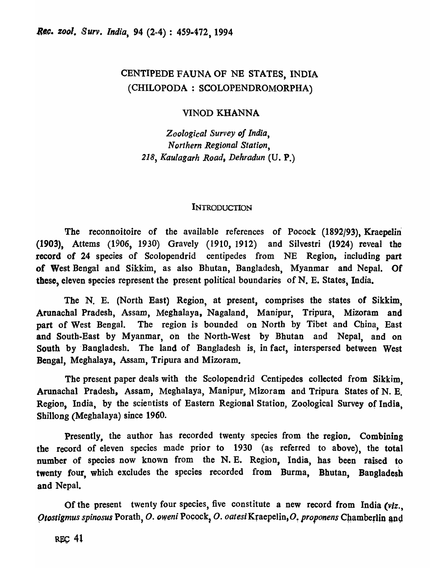## CENTIPEDE FAUNA OF NE STATES, INDIA (CHILOPODA: SCOLOPENDROMORPHA)

### VINOD KHANNA

*Zoological Survey of India, Northern Regional Station, 218, Kaulagarh Road, Dehradun* (U. P.)

### **INTRODUCTION**

The reconnoitoire of the available references of Pocock (1892/93), Kraepelin (1903), Attems (1906, 1930) Gravely (1910, 1912) and Silvestri (1924) reveal the record of 24 species of Scolopendrid centipedes from NE Region, including part of West Bengal and Sikkim, as also Bhutan, Bangladesh, Myanmar and Nepal. Of these, eleven species represent the present political boundaries of N. E. States, India.

The N. E. (North East) Region, at present, comprises the states of Sikkim, Arunachal Pradesh, Assam, Meghalaya, Nagaland, Manipur, Tripura, Mizoram and part of West Bengal. The region is bounded on North by Tibet and China, East and South-East by Myanmar, on the North-West by Bhutan and Nepal, and on South by "Bangladesh. The land of Bangladesh is, in fact, interspersed between West Bengal, Meghalaya, Assam, Tripura and Mizoram.

The present paper deals with the Scolopendrid Centipedes collected from Sikkim, Arunachal Pradesh, Assam, Meghalaya, Manipur, Mizoram and Tripura States of N. E. Region, India, by the scientists of Eastern Regional Station, Zoological Survey of India, Shillong (Meghalaya) since 1960.

Presently, the author has recorded twenty species from the region. Combining the record of eleven species made prior to 1930 (as referred to above), the total number of species now known from the N. E. Region, India, has been raised to twenty four, which excludes the species recorded from Burma, Bhutan, Bangladesh and Nepal.

Of the present twenty four species, five constitute a new record from India *(viz., Otostigmus spinosus Porath, O. oweni Pocock, O. oatesi Kraepelin, O. proponens Chamberlin and*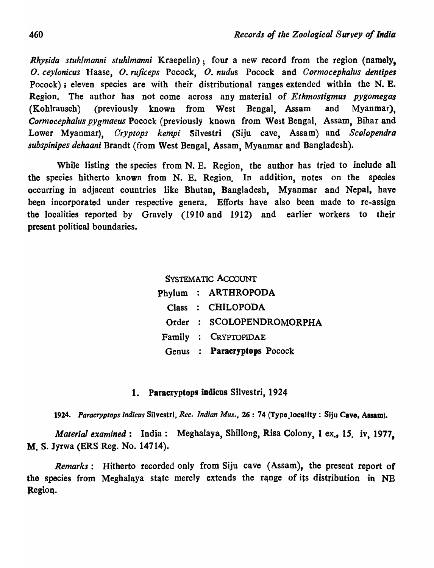*Rhysida stuhlmanni stuhlmanni* Kraepelin); four a new record from the region (namely, *o. ceylonicus* Haase, *O. rujiceps* Pocock, *O. nudus* Pocock and *C ormocephalus dentipes*  Pocock); eleven species are with their distributional ranges extended within the N. E. Region. The author has not come across any material of *Ethmostigmus pygomegas*  (Kohlrauscb) (previously known from West Bengal, Assam and Myanmar), *Cormocephalu8 pYgmaeus* Pocock (previously known from West Bengal, Assam, Bihar and Lower Myanmar), *Cryptops kempi* Silvestri (Siju cave, Assam) and *Scolopendra 8ubspinipes dehaani* Brandt (from West Bengal, Assam, Myanmar and Bangladesh).

While listing the species from N. E. Region, the author has tried to include all the species hitherto known from N. E. Region. In addition, notes on the species occurring in adjacent countries like Bhutan, Bangladesh, Myanmar and Nepal, have been incorporated under respective genera. Efforts have also been made to re-assign the localities reported by Gravely (1910 and 1912) and earlier workers to their present political boundaries.

# SYSTEMATIC ACCOUNT Phylum : ARTHROPODA Class CHILOPODA Order SCOLOPENDROMORPHA Family CRYPTOPIDAE Genus Paracryptops Pocock

### 1. Paracryptops indicus Silvestri, 1924

1924. Paracryptops indicus Silvestri, *Rec. Indian Mus.*, 26: 74 (Type<sub>.</sub>locality: Siju Cave, Assam).

*Material examined:* India: Megbalaya, Shillong, Risa Colony, 1 ex., *IS.* iv, 1977, M. S. Jyrwa (BRS Reg. No. 14714).

*Remarks:* Hitherto recorded only from Siju cave (Assam), the present report of the species from Meghalaya state merely extends the range of its distribution in NE Region.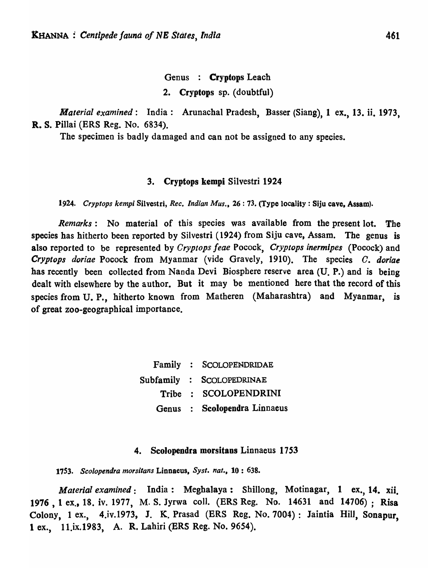Genus : Cryptops Leach

2. Cryptops sp. (doubtful)

*Material examined:* India: Arunachal Pradesh, Basser (Siang), 1 ex., 13. ii. 1973, R. S. Pillai (ERS Reg. No. 6834).

The specimen is badly damaged and can not be assigned to any species.

### 3. Cryptops kempi Silvestri 1924

*1924. Cryptops kempi* Silvestri, *Rec. Indian Mus.,* 26 : 73. (Type locality: Siju cave. Assam).

*Remarks:* No material of this species was available from the present lot. The species has hitherto been reported by Silvestri (1924) from Siju cave, Assam. The genus is also reported to be represented by *Cryptops feae* Pocock, *Cryptops inermipes* (Pocock) and *Cryptops doriae* Pocock from Myanmar (vide Gravely, 1910). The species *C. doriae*  has recently been collected from Nanda Devi Biosphere reserve area (U. P.) and is being dealt with elsewhere by the author. But it may be mentioned here that the record of this species from U. P., hitherto known from Matheren (Maharashtra) and Myanmar, is of great zoo-geographical importance.

> Family SCOLOPENDRIDAE Subfamily SCOLOPEDRINAE Tribe SCOLOPENDRINI Genus Scolopendra Linnaeus

#### 4. Scolopendra morsitans Linnaeus 1753

*1753. Sc%pendra morsitans* Linnaeus. *Syst. nat.,* 10 : 638.

*Material examined:* India: Megbalaya: Shillong, Motinagar, 1 ex., 14. xii. 1976 ,lex., 18. iv. 1977, M. S. Jyrwa coli. (ERS Reg. No. 14631 and 14706) ; Risa Colony, 1 ex., 4.iv.1973, J. K. Prasad (ERS Reg. No. 7004): laintia Hill, Sonapur, 1 ex., 11.ix.1983, A. R. Lahiri (ERS Reg. No. 9654).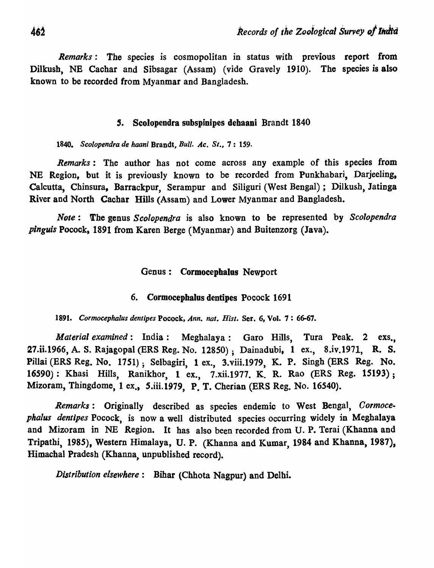*Remarks:* The species is cosmopolitan in status with previous report from Dilkush, NB Cachar and Sibsagar (Assam) (vide Gravely 1910). The species is also known to be recorded from Myanmar and Bangladesh.

### *s.* Scolopendra subspinipes dehaani Brandt 1840

*1840. Scolopendra de haani* Brandt, *Bull. Ac.* 51., 7: 159.

*Remarks:* The author has not come across any example of this species from NE Region, but it is previously known to be recorded from Punkhabari, Darjeeling. Calcutta, Chinsura, Barrackpur, Serampur and Siliguri (West Bengal); Dilkush, latioga River and North Cachar Hills (Assam) and Lower Myanmar and Bangladesh.

*Note*: The genus *Scolopendra* is also known to be represented by *Scolopendra pinguis* Pocock, 1891 from Karen Berge (Myanmar) and Buitenzorg (Java).

### Genus: Cormocephalus Newport

### 6. Cormocephalos dentipes Pocock 1691

1891. *Cormocephalus dentipes Pocock, Ann. nat. Hist. Ser. 6, Vol. 7: 66-67.* 

*Material examined*: India: Meghalaya: Garo Hills, Tura Peak. 2 exs., 27.ii.1966, A. S. Rajagopal (ERS Reg. No. 12850); Dainadubi, 1 ex., 8.iv.1971, R. S. Pillai (ERS Reg. No. 1751); Selbagiri, 1 ex., 3.viii.1979, K. P. Singh (ERS Reg. No. 16590): Khasi Hills, Ranikhor, 1 ex., 7.xii.1977. K. R. Rao (ERS Reg. 15193); Mizoram, Thingdome, 1 ex., S.iii.1979, p. T. Cherian (ERS Reg. No. 16540).

*Remarks:* Originally described as species endemic to West Benga1, *Cormocephalus dentlpes* Pocock, is now a well distributed species occurring widely in Meghalaya and Mizoram in NE Region. It has also been recorded from U. P. Terai (Khanna and Tripathi, 1985), Western Himalaya, U. P. (Khanna and Kumar, 1984 and Khanna, 1987), Himachal Pradesh (Khanna, unpublished record).

*Distribution elsewhere:* Bihar (Chhota Nagpur) and Delhi.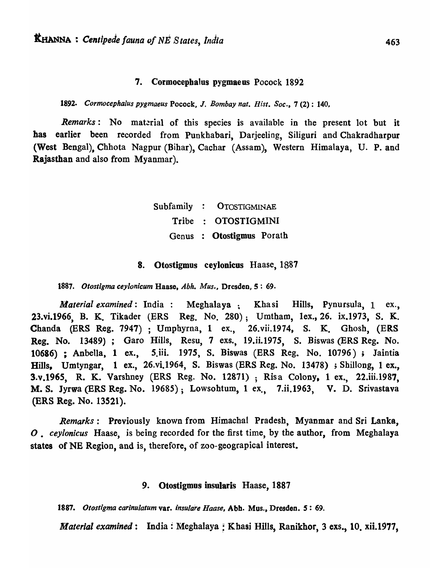#### 7. Cormocepbalus pygmaeus Pocock 189'2

*1892. Cormocephalus pygmaeus* Pocock, J. *Bombay nat.* Hisl. *Soc.,* 7 (2): 140,

*Remarks*: No material of this species is available in the present lot but it has earlier been recorded from Punkhabari, Darjeeling, Siliguri and Chakradharpur (West Bengal), Chhota Nagpur (Bihar), Cachar (Assam), Western Himalaya, U. P. and Rajasthan and also from Myanmar).

> Subfamily OTOSTIGMINAE Tribe OTOSTIGMINI Genus Otostigmus Porath

#### 8. Otostigmus ceylonicus Haase, 1887

*1887. Otostigma ceylonicum* Haase, *Abh. Mus.,* Dresden, S : 69.

*Material examined*: India: Meghalaya ; Khasi Hills, Pynursula, 1 ex., 23.vi.1966, B. K. Tikader (ERS Reg. No. 280); Umtham, lex.,26. ix.1973, S. K. Chanda (ERS Reg. 7947) ; Umphyrna, 1 ex., 26.vii.1974, S. K. Ghosh, (ERS Reg. No. 13489); Garo Hills, Resu, 7 exs., 19.ii.197S, S. Biswas (ERS Reg. No. 10686) ; AnbelIa, 1 ex., 5.iii. 1975, S. Biswas (ERS Reg. No. 10796); Jaintia Hills, Umtyngar, 1 ex., 26.vi.1964, S. Biswas (ERS Reg. No. 13478) ; Shillong, 1 ex., 3.v.1965, R. K. Varshney (ERS Reg. No. 12871) ; Risa Colony, 1 ex., 22.iii.1987, M. S. Jyrwa (ERS Reg. No. 19685); Lowsohtum, 1 ex., 7.ii.1963, V. D. Srivastava (ERS Reg. No. 13521).

*Remarks:* Previously known from Himachal Pradesh, Myanmar and Sri Lanka, *O. ceylonicus* Haase, is being recorded for the first time, by the author, from Meghalaya states of NE Region, and is, therefore, of zoo-geograpical interest.

#### 9. Otostigmos insularis Haase, 1887

*1887. Otostigma carinu/atum* var. *insu/are Haase,* Abb. Mus., Dresden. *S: 69.* 

*Material examined*: India: Meghalaya: Khasi Hills, Ranikhor, 3 exs., 10. xii.1977,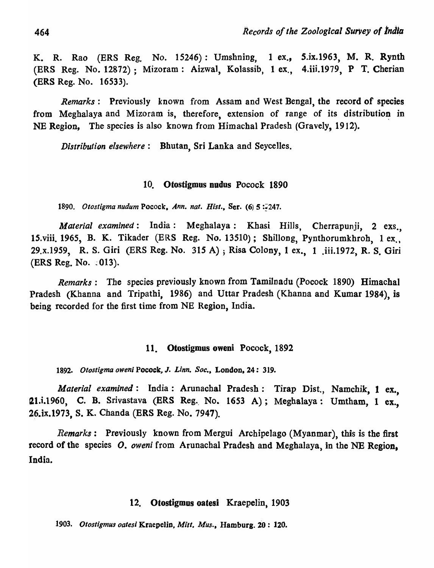K. R. Rao (ERS Reg. No. 15246): Umshning, 1 ex., S.ix.1963, M. R. Rynth (ERS Reg. No. 12872): Mizoram: Aizwal, Kolassib, 1 ex., 4.iii.1979, P T. Cherian (ERS Reg. No. 16533).

*Remarks*: Previously known from Assam and West Bengal, the record of species from Meghalaya and Mizoram is, therefore, extension of range of its distribution in NE Region, The species is also known from Himachal Pradesh (Gravely, 1912).

*Distribution elsewhere:* Bhutan, Sri Lanka and Seycelles.

### 10. Otostigmus nudus Pocock 1890

1890. Otostigma nudum Pocock, Ann. nat. Hist., Ser. (6) 5:247.

*Material examined*: India: Meghalaya: Khasi Hills, Cherrapunji, 2 exs., IS.viii. 1965, B. K. Tikader (ERS Reg. No. 13510); Shillong, Pynthorumkbroh, 1 ex. , 29.x.19S9, R. S. Giri (ERS Reg. No. 315 A) ; Risa Colony, 1 ex., 1 .iii.1972, R. S. Giri (ERS Reg. No.  $.013$ ).

*Remarks:* The species previously known from Tamilnadu (Pocock 1890) Himachal Pradesh (Khanna and Tripathi, 1986) and Uttar Pradesh (Khanna and Kumar 1984), is being recorded for the first time from NE Region, India.

### 11. Otostigmus oweni Pocock, 1892

*1892. Otostigma owen;* Pocock, J. *Linn. Soc.,* London, 24: 319.

*Material examined:* India: Arunachal Pradesh: Tirap Dist., Namchik, 1 ex., 21.i.1960, C. B. Srivastava (ERS Reg., No. 1653 A); Meghalaya: Umtham, 1 ex., 26.ix.1973, S. K. Chanda (ERS Reg. No. 7947).

*Remarks:* Previously known from Mergui Archipelago (Myanmar), this is the first record of the species O. oweni from Arunachal Pradesh and Meghalaya, in the NE Region, India.

### 12. Otostigmus oatesi Kraepelin, 1903

*1903. Otosligmus oates;* Kraepelin, *Mitt. Mus.,* Hamburg. 20: 120.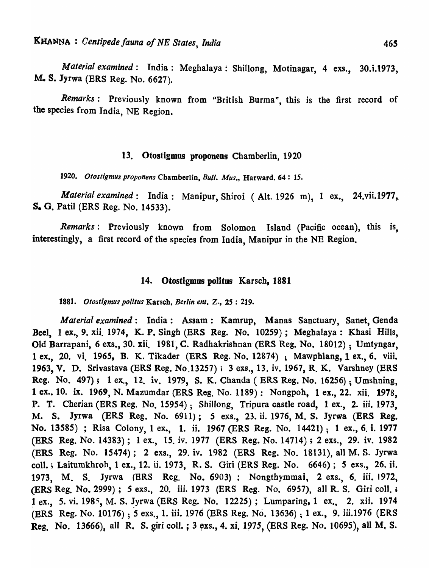*Material examined*: India: Meghalaya: Shillong, Motinagar, 4 exs., 30.i.1973, M. S. Jyrwa (ERS Reg. No. 6627).

Remarks: Previously known from "British Burma", this is the first record of the species from India, NE Region.

#### 13. Otostigmus proponens Chamberlin, 1920

*1920. Olostigmus proponens* Chamberlin, *Bull. Mus.,* Harward. 64: 15.

*Material examined:* India: Manipur, Shiroi (Alt. 1926 m), 1 ex., 24.vii.1977,. S. O. Patil (ERS Reg. No. 14533).

*Remarks:* Previously known from Solomon Island (Pacific ocean), this is, interestingly, a first record of the species from India, Manipur in the NE Region.

#### 14. Otostigmus politos Karsch, 1881

1881. Otostigmus politus Karsch, *Berlin ent.* Z., 25: 219.

*Material examined:* India: Assam: Kamrup, Manas Sanctuary, Sanet, Genda Beet, 1 ex., 9. xii. 1974, K. P. Singh (ERS Reg. No. 10259); Megbalaya: Kbasi Hills, Old Barrapani, 6 exs., 30. xii. 1981, C. Radhakrishnan' (ERS Reg. No. 18012) ; Umtyngar, 1 ex., 20. vi. 1965, B. K. Tikader (ERS Reg. No. 12874) ; Mawphlang, 1 ex., 6. viii. 1963, V. D. Srivastava (ERS Reg. No.13257); 3 exs., 13. iv. 1967, R. K. Varshney (ERS Reg. No. 497); 1 ex., 12. iv. 1979, S. K. Chanda ( ERS Reg. No. 16256); Umshning, 1 ex., 10. ix. 1969, N. Mazumdar (ERS Reg. No. 1189): Nongpoh, 1 ex., 22. xii. 1978, P. T. Cherian (ERS Reg. No. 15954); Shillong, Tripura castle road, 1 ex., 2. iii. *1973,*  M. S. Jyrwa (ERS Reg. No. 6911); 5 exs., 23. ii. 1976, M. S. Jyrwa (ERS Reg. No. 13585) ; Risa Colony, 1 ex\_, 1. ii. 1967 (ERS Reg. No. 14421); 1 ex., 6. i. 1977 (ERS Reg. No. 14383); 1 ex., *IS.* iv. 1977 (ERS Reg. No. 14714) ; 2 exs., 29. iv. 1982 (ERS Reg. No. 15474); 2 exs., 29. iv. 1982 (ERS Reg. No. 18131), all M. S. Jyrwa colI. ; Laitumkhroh, 1 ex., 12. ii. 1973, R. S. Giri (ERS Reg. No. 6646); 5 exs., 26. it 1973, M. S. Jyrwa (ERS Reg. No. 6903); Nongthymmai, 2 exs., 6. iii. 1972, (ERS Reg. No. 2999); *S* exs., 20. iii. 1973 (ERS Reg. No. 6957), all R. S. Giri coli. ; 1 ex., 5. vi. 1985, M. S. Jyrwa (ERS Reg. No. 12225); Lumparing, 1 ex., 2. xii. 1974 (ERS Reg. No. 10176); 5 exs., 1. iii. 1976 (ERS Reg. No. 13636); 1 ex., 9. iii.1976 (ERS Reg. No. 13666), all R. S. giri coll. ; 3 exs., 4. xi. 1975, (ERS Reg. No. 10695), all M. S.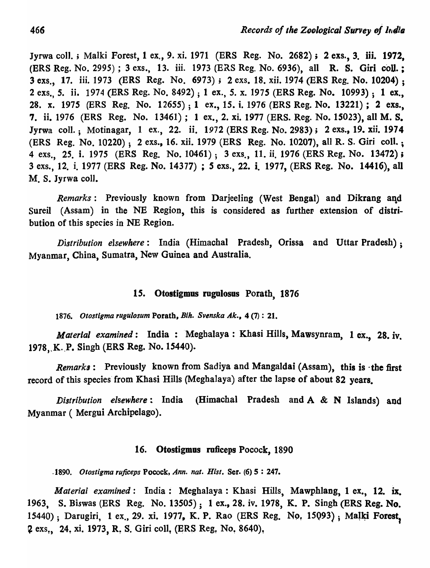Jyrwa coll.; Malki Forest, 1 ex., 9. xi. 1971 (ERS Reg. No. 2682); 2 exs., 3. iii. 1972. (ERS Reg. No. 2995) ; 3 exs., 13. iii. 1973 (ERS Reg. No. 6936), all R. S. Giri coU.; 3 exs., 17. iii. 1973 (ERS Reg. No. 6973); 2 exs. 18. xii. 1974 (ERS Reg. No. 10204) ; 2 exs., 5. ii. 1974 (ERS Reg. No. 8492) ; 1 ex., 5. x. 1975 (ERS Reg. No. 10993); 1 ex., 28. x. 1975 (ERS Reg. No. 12655); 1 ex., 15. i. 1976 (ERS Reg. No. 13221); 2 exs., 7. ii. 1976 (ERS Reg. No. 13461); 1 ex., 2. xi. 1977 (ERS. Reg. No. 15023), all M. S. Jyrwa coll.; Motinagar, 1 ex., 22. ii. 1972 (ERS Reg. No. 2983); 2 exs., 19. xii. 1974 (ERS Reg. No. 10220); 2 exs., 16. xii. 1979 (ERS Reg. No. 10207), all R. S. Giri colI.; 4 exs., 25. i. 1975 (ERS Reg. No. 10461); 3 exs., 11. ii. 1976 (ERS Reg. No. 13472); 3 exs., 12. i. 1977 (ERS Reg. No. 14377) ; 5 exs., 22. i. 1977, (ERS Reg. No. 14416), all M. S. Jyrwa coli.

*Remarks:* Previously known from Darjeeling (West Bengal) and Dikrang aqd Sureil (Assam) in the NE Region, this is considered as further extension of distribution of this species in NE Region.

*Distribution elsewhere:* India (Himachal Pradesh, Orissa and Uttar Pradesh) ; Myanmar, China, Sumatra, New Guinea and Australia.

### 15. Otostigmus rugulosus Porath, 1876

*1876. Otostlgma rugulosum* Porath. *Bih. Svenska Ak.,* 4 (7) : 21.

*Material examined:* India : Megbalaya : Khasi Hills, Mawsynram, 1 ex., 28. iv. 1978, K. P. Singh (ERS Reg. No. 15440).

*Remarks*: Previously known from Sadiya and Mangaldai (Assam), this is the first record of this species from Khasi Hills (Meghalaya) after the lapse of about 82 years.

*D'istribution elsewhere:* India (Himachal Pradesh and A & N Islands) and Myanmar ( Mergui Archipelago).

### 16. Otostigmus ruficeps Pocock, 1890

*.1890. Otostigma rujiceps* Pocock, *Ann. nat. Hist.* Sere (6) 5 : 247.

*Material examined:* India: Megbalaya: Khasi Hills, Mawphlang, 1 ex., 12. ix. 1963, S. Biswas (ERS Reg. No. 13505); 1 ex., 28. iv. 1978, K. P. Singh (ERS Reg. No. 15440); Darugiri, 1 ex., 29. xi. 1977, K. P. Rao (ERS Reg. No. 15093); Malki Forest, 2 exs., 24, xi. 1973, R. S. Giri coll, (ERS Reg, No. 8640),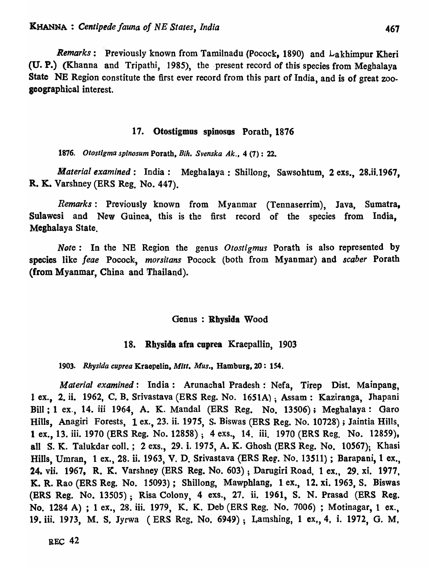*Remarks*: Previously known from Tamilnadu (Pocock, 1890) and Lakhimpur Kheri (U. P.) (Khanna and Tripatbi, 1985), the .present record of this species from Megbalaya State NE Region constitute the first ever record from this part of India, and is of great zooseographical interest.

#### 17. Otostigmus spinosus Porath, 1876

1876. *Otostlgma splnosum* Porath, *Bih. Svenska* Ak., 4 (7): 22.

*Material examined*: India: Meghalaya: Shillong, Sawsohtum, 2 exs., 28.ii.1967, R. K.. Varshney (ERS Reg. No. 447).

*Remarks:* Previously known from Myanmar (Tennaserrim), Java, Sumatra, Sulawesi and New Guinea, this is the first record of the species from India, Meghalaya State.

*Note:* In the NB Region the genus *Otostigmus* Porath is also represented by species like *feae* Pocock;, *morsitans* Pocock (both from Myanmar) and *scaber* Porath (from Myanmar, China and Thailand).

#### Genus: Rhysida Wood

#### 18. Rhysida afra cuprea Kraepallin, 1903

1903. Rhysida cuprea Kraepelin, Mitt. *Mus.*, Hamburg, 20: 154.

*Material examined:* India: Arunachal Pradesh: Nefa, Tjrep Dist. Mainpang, 1 ex., 2. ii. 1962, C, B. Srivastava (ERS Reg. No. 1651A); Assam: Kaziranga, Jhapani Bill; 1 ex., 14. iii 1964, A. K. MandaI (ERS Reg. No. 13506); Megbalaya: Oaro Hills, Anagiri Forests, 1 ex., 23. ii. 1975, S. Biswas (ERS Reg. No. 10728) ; Jaintia Hills, 1 ex., 13. iii. 1970 (ERS Reg. No. 12858); 4 exs., 14. iii. 1970 (ERS Reg. No. 12859). all S. K. Talukdar coIl.; 2 exs., 29. i. 1975, A. K. Ghosh (ERS Reg. No. 10S67); Khasi Hills, Umran, 1 ex., 28. ii. 1963, V. D. Srivastava (ERS Reg. No. 13511) ; Barapani, 1 ex., 24. vii. 1967, R. K. Varshney (ERS Reg. No. 603) ; Darugiri Road, 1 ex., 29. xi. 1977, K. R. Rao (ERS Reg. No. 15093); Shillong, Mawphlang, 1 ex., 12. xi. 1963, S. Biswas (ERS Reg. No. 13505); Risa Colony, 4 exs.; 27. ii. 1961, S. N. Prasad (ERS Reg. No. 1284 A) ; 1 ex., 28. iii. 1979, K. K. Deb (ERS Reg. No. 7006) ; Motinagar, 1 ex., 19. iii. 1973, M. S. Jyrwa (ERS Reg, No. 6949); Lamshing, 1 ex., 4, i. 1972, G. M.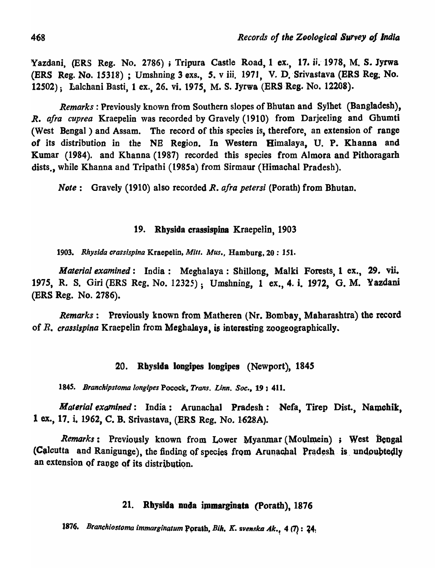Yazdani, (ERS Reg. No. 2786) ; Tripura Castle Road, 1 ex., 17. ii. 1978, M. S. Jyrwa (ERS Reg. No. 15318) ; Umshning 3 exs., 5. v iii. 1971, V. D. Srivastava (ERS Reg. No. 12502); Lalchani Basti, 1 ex., 26. vi. 1975, M. S. Jyrwa (ERS Reg. No. 12208).

*Remarks:* Previously known from Southern slopes of Bhutan and Sylhet (Bangladesh), *R. afra cuprea* Kraepelin was recorded by Gravely (1910) from Darjeeling and Ghumti (West Bengal) and Assam. The record of this species is, therefore, an extension of range of its distribution in the NB Region. In Western Himalaya, U. P. Khanna and Kumar (1984). and Khanna (1987) recorded this species from Almora and Pithoragarh dists., while Khanna and Tripathi (1985a) from Sirmaur (Himachal Pradesh).

*Note*: Gravely (1910) also recorded *R. afra petersi* (Porath) from Bhutan.

### 19. Rbysida crassispina Kraepelin, 1903

*1903. Rhysida crassispina* Kraepelin, *Mitt. Mus.,* Hamburg, 20 : 151.

*Material examined:* India: Megbalaya: Shillong, Malki Forests, 1 ex., 29. vii. 1975, R. S. Giri (ERS Reg. No. 12325); Umshning, 1 ex., 4. i. 1972, G. M. Yazdani (ERS Reg. No. 2786).

*Remarks:* Previously known from Matberen (Nr. Bombay, Mabarasbtra) the record of *R. crassispina* Kraepelin from Meghalaya, is interesting zoogeographically.

### !ZO. Rbyslda IODgipes longipes (Newport), *184S*

1845. Branchipstoma longipes Pocock, *Trans. Linn. Soc.*, 19; 411.

*Material examined:* India: Arunachal Pradesh: Nefa, Tirep Dist., Namchik, 1 ex., 17. i. 1962, C. B. Srivastava, (ERS Reg. No. 1628A).

*Remarks*: Previously known from Lower Myanmar (Moulmein) ; West Bengal (Calcutta and Ranigunge), the finding of species from Arunachal Pradesh is undoubtedly an extension of range of its distribution.

### 21. Rhysida nuda immarginata (Porath), 1876

1876. *Branchiostoma immarginatum* Porath, *Bih. K. svenska Ak.*, 4 (7): 24.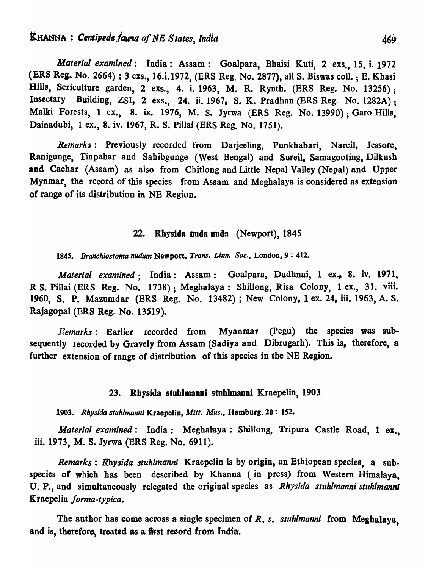*Material examined*: India: Assam: Goalpara, Bhaisi Kuti, 2 exs., 15, i. 1972 (ERS Reg. No. 2664) ; 3 exs., 16.i.1972, (ERS Reg. No. 2877), all S. Biswas coIl. ; E. Kbasi Hills, Sericulture garden, 2 exs., 4. i. 1963, M. R. Rynth. (ERS Reg. No. 13256); Insectary Building, ZSI, 2 exs., 24. ii. 1967, S. K. Pradhan (ERS Reg. No. 1282A); Malki Forests, 1 ex., 8. ix. 1976, M. S. Jyrwa (ERS Reg. No. 13990); Garo Hills, Dainadubi, 1 ex., 8. iv. 1967, R. S. Pillai (ERS Reg. No. 1751).

*Remarks:* Previously recorded from Darjeeling, Punkhabari, Nareil, Jessore, Ranigunge, Tinpabar and Sahibgunge (West Bengal) and Sureil, Samagooting, Dilkush and Cachar (Assam) as also from Chitlong and Little Nepal Valley (Nepal) and Upper Mynmar, the record of this species from Assam and Meghalaya is considered as extension of range of its distribution in NE Region.

### 22. Rhysida nuda nuda (Newport), 1845

*1845. Branchiostoma nudum* Newport, *Trans. Linn. Soc.,* LondoD,9 : 412.

*Material examined;* India: Assam: Goalpara, Dudbnai, 1 ex., 8. iv. 1971, R S. Pillai (ERS Reg. No. 1738); Meghalaya: Shillong, Risa Colony, 1 ex., 31. viii. 1960, S. P. Mazumdar (ERS Reg. No. 13482); New Colony, 1 ex. 24, iii. 1963, A. s. Rajagopal (ERS Reg. No. *13S19).* 

*Remarks:* Earlier recorded from Myanmar (Pegu) the species was subsequently recorded by Gravely from Assam (Sadiya and Dibrugarh). This is, therefore, a further extension of range of distribution of this species in the NE Region.

#### 23. Rbysida stuhlmanni stuhlmanoi Kraepelin, 1903

*1903. Rhys/da stuhlmannl* Kraepelin, *Mitt. Mus.,* Hamburg, 20: 152.

*Material examined*: India: Meghalaya: Shillong, Tripura Castle Road, 1 ex., iii. 1973, M. S. Jyrwa (ERS Reg. No. 6911).

*Remarks* : *Rbysida stuhlmanni* Kraepelin is by origin, an Bthiopean species, a subspecies of which has been described by Khanna (in press) from Western Himalaya, U. P., and simultaneously relegated the original species as *Rhysida stuhlmanni stuhlmanni* Kraepelin *forma-typica*.

The author has come across a single specimen of *R. s. stuhlmanni* from Meghalaya, and is, therefore, treated as a first record from India.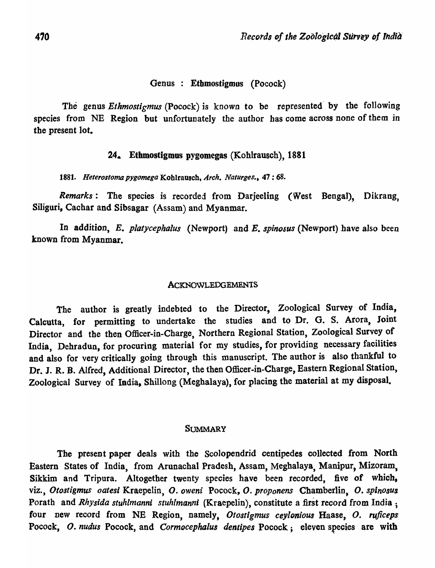### Genus : Etbmostigmos (Pocock)

The genus *Ethmostigmus* (Pocock) is known to be represented' by the following species from NE Region but unfortunately the author bas come across none of them *in*  the present lot.

#### 24. Ethmostlgmus pygomegas (Kohlrausch), 1881

1881. *Heterostoma pygomega Kohlrausch, Arch. Naturges.*, 47:68.

*Remarks:* The species is recorded from Darjeeting (West Bengal), Dikrang, Siliguri, Cachar and Sibsagar (Assam) and Myanmar.

In addition, *E. platycephalus* (Newport) and *E. spinosus* (Newport) have also been known from Myanmar.

#### **ACKNOWLEDGEMENTS**

The author is greatly indebted to the Director, Zoological Survey of India, Calcutta, for permitting to undertake the studies and to Dr. G. S. Arora. Joint Director and the then Officer-in-Charge, Northern Regional Station, Zoological Survey of India, Dehradun, for procuring material for my studies, for providing necessary facilities and also for very critically going through this manuscript. The author is also thankful to Dr. J. R. B. Alfred, Additional Director, the then Officer-in-Charge, Eastern Regional Station, Zoological Survey of India, Shillong (Megbalaya), for placing the material at my disposal.

#### **SUMMARY**

The present paper deals with the Scolopendrid centipedes collected from North Eastern States of India, from Arunachal Pradesh, Assam, Meghalaya, Manipur, Mizoram, Sikkim and Tripura. Altogether twenty species have been recorded, five of which, viz., *Otostigmus oatesi* Kraepelin, o. *oweni* Pocock, o. *proponens* Chamberlin, o. *spin08U&*  Porath and *Rhysida stuhlmanni stuhlmanni* (Kraepelin), constitute a first record from India; four new record from NE Region, namely, Otostigmus ceylonious Haase, O. ruficeps Pocock, O. nudus Pocock, and Cormocephalus dentipes Pocock; eleven species are with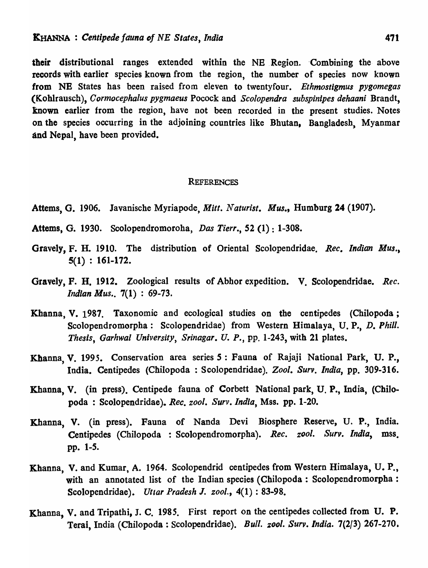their distributional ranges extended within the NE Region. Combining the above records with earlier species known from the region, the number of species now known from NE States has been raised from eleven to twentyfour. *Ethmostlgmus pygomegas*  (K.ohlrausch), *Cormoeephalus pygmaeus* Pocock and *Seolopendra subspinipes dehaani* Brandt, known earlier from the region, have not been recorded in the present studies. Notes on the species occurring in the adjoining countries like Bhutan, Bangladesh, Myanmar and Nepal, have been provided.

#### **REFERENCES**

- Attems, G. 1906. lavanische Myriapode, *Mitt. N aturisl. Mus.,* Humburg 24 (1907).
- Atterns, G. 1930. Scolopendromoroha, *Das Tierr.,* 52 (1) : 1-308.
- Gravely, F. H. 1910. The distribution of Oriental Scolopendridae. *Ree. Indian Mus.,*  5(1) : 161-172.
- Gravely, F. H. 1912. Zoological results of Abhor expedition. V. Scolopendridae. *Ree. Indian Mus..* 7(1) : 69-73.
- Khanna, V. 1987. Taxonomic and ecological studies on the centipedes (Chilopoda; Scolopendromorpha: Scolopendridae) from Western Himalaya, U.P., D. Phill. Thesis, Garhwal University, Srinagar. U. P., pp. 1-243, with 21 plates.
- Khanna, V. 1995. Conservation area series 5 : Fauna of Rajaji National Park, U. P., India. Centipedes (Chilopoda: Scolopendridae). *Zool. Surv. India*, pp. 309-316.
- Khanna, V. (in press). Centipede fauna of Corbett National park, U. P., India, (Chilopoda : Scolopendridae). *Ree. zool. Surv. India,* Mss. pp. 1-20.
- Khanna, V. (in press). Fauna of Nanda Devi Biosphere Reserve, U. P., India. Centipedes (Chilopoda : Scolopendromorpha). *Ree. zool. Surv. India,* mss. pp. 1-5.
- Khanna, V. and Kumar, A. 1964. Scolopendrid centipedes from Western Himalaya, U. p., with an annotated list of the Indian species (Chilopoda: Scolopendromorpha: Scolopendridae). *Uttar Pradesh J. 200l.*, 4(1): 83-98.
- Khanna, V. and Tripathi, J. C. 1985. First report on the centipedes collected from U. P. Terai, India (Chilopoda: Scolopendridae). *Bull. zool. Surv. India.* 7(2/3) 267-270.